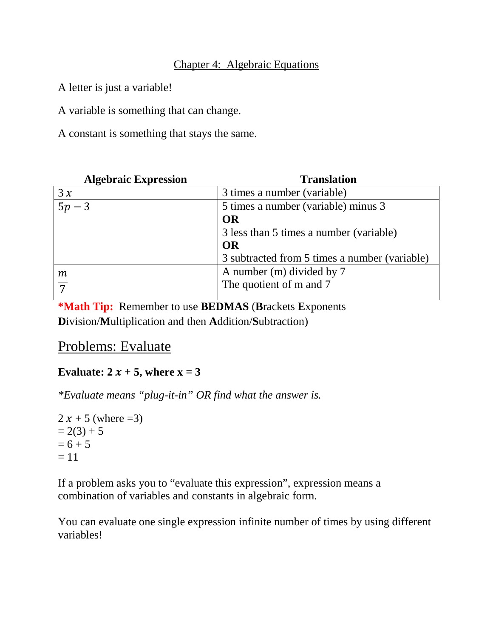### Chapter 4: Algebraic Equations

A letter is just a variable!

A variable is something that can change.

A constant is something that stays the same.

| <b>Algebraic Expression</b> | <b>Translation</b>                            |
|-----------------------------|-----------------------------------------------|
| 3x                          | 3 times a number (variable)                   |
| $5p-3$                      | 5 times a number (variable) minus 3           |
|                             | OR                                            |
|                             | 3 less than 5 times a number (variable)       |
|                             | <b>OR</b>                                     |
|                             | 3 subtracted from 5 times a number (variable) |
| $\,m$                       | A number (m) divided by 7                     |
| $\overline{7}$              | The quotient of m and 7                       |
|                             |                                               |

**\*Math Tip:** Remember to use **BEDMAS** (**B**rackets **E**xponents **D**ivision/**M**ultiplication and then **A**ddition/**S**ubtraction)

## Problems: Evaluate

## **Evaluate:**  $2x + 5$ , where  $x = 3$

*\*Evaluate means "plug-it-in" OR find what the answer is.*

```
2 x + 5 (where = 3)
= 2(3) + 5= 6 + 5= 11
```
If a problem asks you to "evaluate this expression", expression means a combination of variables and constants in algebraic form.

You can evaluate one single expression infinite number of times by using different variables!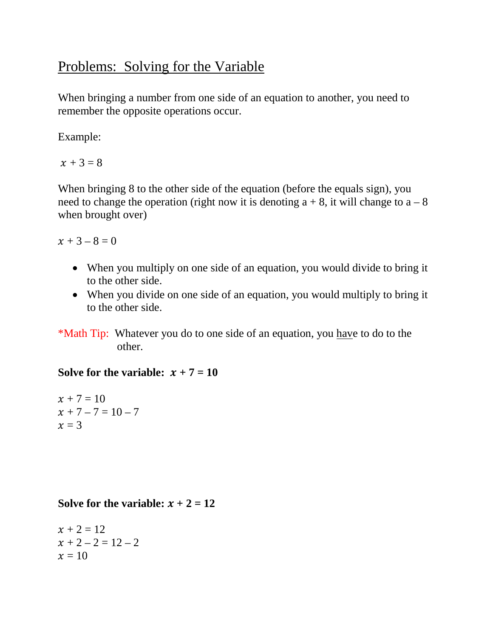# Problems: Solving for the Variable

When bringing a number from one side of an equation to another, you need to remember the opposite operations occur.

Example:

 $x + 3 = 8$ 

When bringing 8 to the other side of the equation (before the equals sign), you need to change the operation (right now it is denoting  $a + 8$ , it will change to  $a - 8$ ) when brought over)

 $x + 3 - 8 = 0$ 

- When you multiply on one side of an equation, you would divide to bring it to the other side.
- When you divide on one side of an equation, you would multiply to bring it to the other side.

\*Math Tip: Whatever you do to one side of an equation, you have to do to the other.

### **Solve for the variable:**  $x + 7 = 10$

 $x + 7 = 10$  $x + 7 - 7 = 10 - 7$  $x = 3$ 

#### **Solve for the variable:**  $x + 2 = 12$

 $x + 2 = 12$  $x + 2 - 2 = 12 - 2$  $x = 10$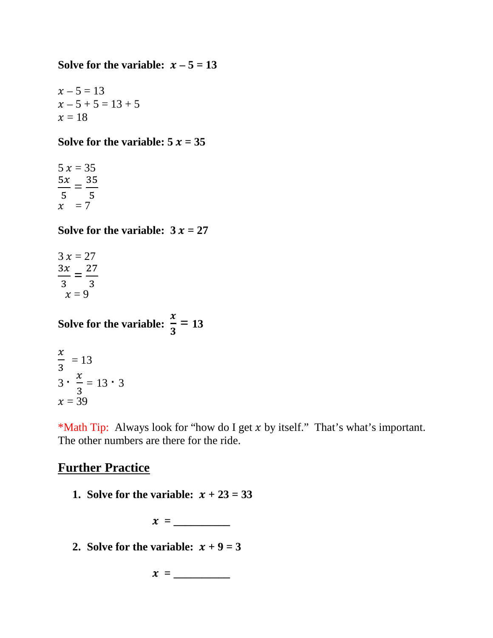#### **Solve for the variable:**  $x - 5 = 13$

 $x - 5 = 13$  $x - 5 + 5 = 13 + 5$  $x = 18$ 

#### **Solve for the variable:**  $5x = 35$

 $5 x = 35$  $\frac{5x}{2}$ 5  $=\frac{35}{5}$ .<br>,  $x = 7$ 

**Solve for the variable:**  $3x = 27$ 

 $3 x = 27$  $\frac{3x}{2}$ 3  $=\frac{27}{2}$ 3  $x = 9$ 

**Solve for the variable:**  $\frac{x}{2}$  $\mathbf{3}$ **= 13**

$$
\frac{x}{3} = 13
$$
  
3 \cdot  $\frac{x}{3} = 13 \cdot 3$   
x = 39

\*Math Tip: Always look for "how do I get  $x$  by itself." That's what's important. The other numbers are there for the ride.

## **Further Practice**

**1. Solve for the variable:**  $x + 23 = 33$ 

 $x = \_$ 

**2. Solve for the variable:**  $x + 9 = 3$ 

 $x = \_$